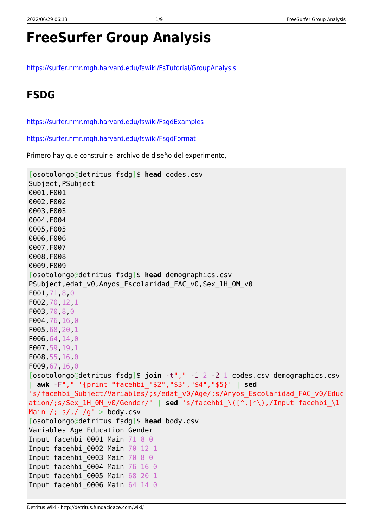# **FreeSurfer Group Analysis**

<https://surfer.nmr.mgh.harvard.edu/fswiki/FsTutorial/GroupAnalysis>

## **FSDG**

<https://surfer.nmr.mgh.harvard.edu/fswiki/FsgdExamples>

<https://surfer.nmr.mgh.harvard.edu/fswiki/FsgdFormat>

Primero hay que construir el archivo de diseño del experimento,

```
[osotolongo@detritus fsdg]$ head codes.csv
Subject,PSubject
0001,F001
0002,F002
0003,F003
0004,F004
0005,F005
0006,F006
0007,F007
0008,F008
0009,F009
[osotolongo@detritus fsdg]$ head demographics.csv
PSubject, edat v0, Anyos Escolaridad FAC v0, Sex 1H 0M v0
F001,71,8,0
F002,70,12,1
F003,70,8,0
F004,76,16,0
F005,68,20,1
F006,64,14,0
F007,59,19,1
F008,55,16,0
F009,67,16,0
[osotolongo@detritus fsdg]$ join -t"," -1 2 -2 1 codes.csv demographics.csv
 | awk -F"," '{print "facehbi_"$2","$3","$4","$5}' | sed
's/facehbi_Subject/Variables/;s/edat_v0/Age/;s/Anyos_Escolaridad_FAC_v0/Educ
ation/;s/Sex_1H_0M_v0/Gender/' | sed 's/facehbi_\([^,]*\),/Input facehbi_\1
Main /; s/, / /g' > body.csv
[osotolongo@detritus fsdg]$ head body.csv
Variables Age Education Gender
Input facehbi 0001 Main 71 8 0
Input facehbi_0002 Main 70 12 1
Input facehbi 0003 Main 70 8 0
Input facehbi_0004 Main 76 16 0
Input facehbi_0005 Main 68 20 1
Input facehbi 0006 Main 64 14 0
```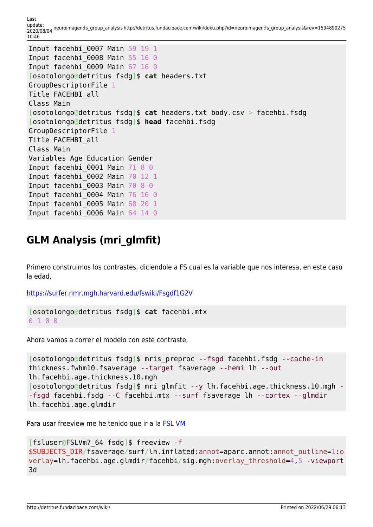Last<br>update: update: 2020/08/04 neuroimagen:fs\_group\_analysis http://detritus.fundacioace.com/wiki/doku.php?id=neuroimagen:fs\_group\_analysis&rev=1594890275 10:46

```
Input facehbi_0007 Main 59 19 1
Input facehbi 0008 Main 55 16 0
Input facehbi 0009 Main 67 16 0
[osotolongo@detritus fsdg]$ cat headers.txt
GroupDescriptorFile 1
Title FACEHBI_all
Class Main
[osotolongo@detritus fsdg]$ cat headers.txt body.csv > facehbi.fsdg
[osotolongo@detritus fsdg]$ head facehbi.fsdg
GroupDescriptorFile 1
Title FACEHBI_all
Class Main
Variables Age Education Gender
Input facehbi 0001 Main 71 8 0
Input facehbi_0002 Main 70 12 1
Input facehbi 0003 Main 70 8 0
Input facehbi_0004 Main 76 16 0
Input facehbi_0005 Main 68 20 1
Input facehbi 0006 Main 64 14 0
```
#### **GLM Analysis (mri\_glmfit)**

Primero construimos los contrastes, diciendole a FS cual es la variable que nos interesa, en este caso la edad,

<https://surfer.nmr.mgh.harvard.edu/fswiki/Fsgdf1G2V>

```
[osotolongo@detritus fsdg]$ cat facehbi.mtx
0 1 0 0
```
Ahora vamos a correr el modelo con este contraste,

```
[osotolongo@detritus fsdg]$ mris_preproc --fsgd facehbi.fsdg --cache-in
thickness.fwhm10.fsaverage --target fsaverage --hemi lh --out
lh.facehbi.age.thickness.10.mgh
[osotolongo@detritus fsdg]$ mri glmfit --y lh.facehbi.age.thickness.10.mgh -
-fsgd facehbi.fsdg --C facehbi.mtx --surf fsaverage lh --cortex --glmdir
lh.facehbi.age.glmdir
```
Para usar freeview me he tenido que ir a la [FSL VM](http://detritus.fundacioace.com/wiki/doku.php?id=neuroimagen:virtfsl)

```
[fsluser@FSLVm7_64 fsdg]$ freeview -f
$SUBJECTS_DIR/fsaverage/surf/lh.inflated:annot=aparc.annot:annot_outline=1:o
verlay=lh.facehbi.age.glmdir/facehbi/sig.mgh:overlay_threshold=4,5 -viewport
3d
```
http://detritus.fundacioace.com/wiki/ Printed on 2022/06/29 06:13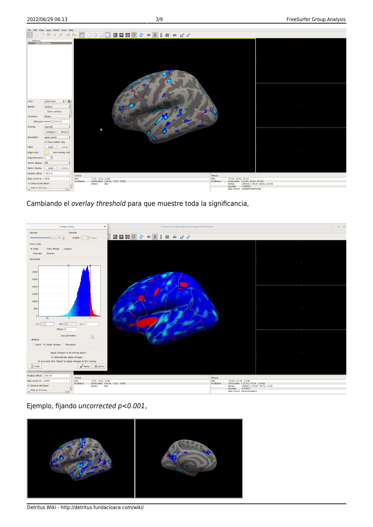

Cambiando el overlay threshold para que muestre toda la significancia,



Ejemplo, fijando uncorrected p<0.001,



Detritus Wiki - http://detritus.fundacioace.com/wiki/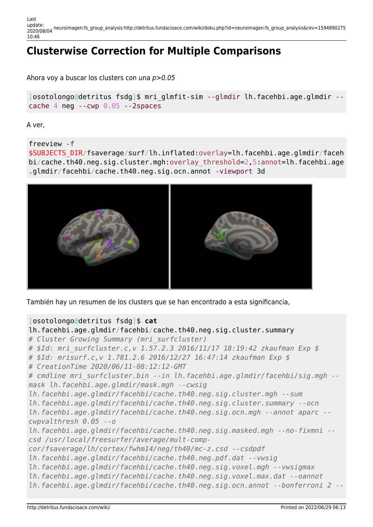Last update: 2020/08/04 neuroimagen:fs\_group\_analysis http://detritus.fundacioace.com/wiki/doku.php?id=neuroimagen:fs\_group\_analysis&rev=1594890275 10:46

## **Clusterwise Correction for Multiple Comparisons**

Ahora voy a buscar los clusters con una p>0.05

[osotolongo@detritus fsdg]\$ mri\_glmfit-sim --glmdir lh.facehbi.age.glmdir - cache 4 neg --cwp 0.05 --2spaces

A ver,

freeview -f

\$SUBJECTS\_DIR/fsaverage/surf/lh.inflated:overlay=lh.facehbi.age.glmdir/faceh bi/cache.th40.neg.sig.cluster.mgh:overlay\_threshold=2,5:annot=lh.facehbi.age .glmdir/facehbi/cache.th40.neg.sig.ocn.annot -viewport 3d



También hay un resumen de los clusters que se han encontrado a esta significancia,

#### [osotolongo@detritus fsdg]\$ **cat**

```
lh.facehbi.age.glmdir/facehbi/cache.th40.neg.sig.cluster.summary
# Cluster Growing Summary (mri_surfcluster)
# $Id: mri_surfcluster.c,v 1.57.2.3 2016/11/17 18:19:42 zkaufman Exp $
# $Id: mrisurf.c,v 1.781.2.6 2016/12/27 16:47:14 zkaufman Exp $
# CreationTime 2020/06/11-08:12:12-GMT
# cmdline mri_surfcluster.bin --in lh.facehbi.age.glmdir/facehbi/sig.mgh --
mask lh.facehbi.age.glmdir/mask.mgh --cwsig
lh.facehbi.age.glmdir/facehbi/cache.th40.neg.sig.cluster.mgh --sum
lh.facehbi.age.glmdir/facehbi/cache.th40.neg.sig.cluster.summary --ocn
lh.facehbi.age.glmdir/facehbi/cache.th40.neg.sig.ocn.mgh --annot aparc --
cwpvalthresh 0.05 --o
lh.facehbi.age.glmdir/facehbi/cache.th40.neg.sig.masked.mgh --no-fixmni --
csd /usr/local/freesurfer/average/mult-comp-
cor/fsaverage/lh/cortex/fwhm14/neg/th40/mc-z.csd --csdpdf
lh.facehbi.age.glmdir/facehbi/cache.th40.neg.pdf.dat --vwsig
lh.facehbi.age.glmdir/facehbi/cache.th40.neg.sig.voxel.mgh --vwsigmax
lh.facehbi.age.glmdir/facehbi/cache.th40.neg.sig.voxel.max.dat --oannot
lh.facehbi.age.glmdir/facehbi/cache.th40.neg.sig.ocn.annot --bonferroni 2 --
```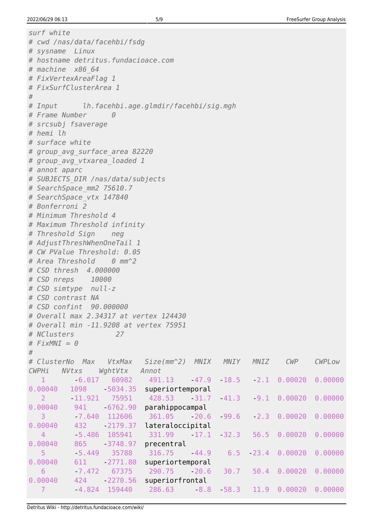```
surf white
# cwd /nas/data/facehbi/fsdg
# sysname Linux
# hostname detritus.fundacioace.com
# machine x86_64
# FixVertexAreaFlag 1
# FixSurfClusterArea 1
#
# Input lh.facehbi.age.glmdir/facehbi/sig.mgh
# Frame Number 0
# srcsubj fsaverage
# hemi lh
# surface white
# group_avg_surface_area 82220
# group_avg_vtxarea_loaded 1
# annot aparc
# SUBJECTS_DIR /nas/data/subjects
# SearchSpace_mm2 75610.7
# SearchSpace_vtx 147840
# Bonferroni 2
# Minimum Threshold 4
# Maximum Threshold infinity
# Threshold Sign neg
# AdjustThreshWhenOneTail 1
# CW PValue Threshold: 0.05
# Area Threshold 0 mm^2
# CSD thresh 4.000000
# CSD nreps 10000
# CSD simtype null-z
# CSD contrast NA
# CSD confint 90.000000
# Overall max 2.34317 at vertex 124430
# Overall min -11.9208 at vertex 75951
# NClusters 27
# FixMNI = 0
#
# ClusterNo Max VtxMax Size(mm^2) MNIX MNIY MNIZ CWP CWPLow
CWPHi NVtxs WghtVtx Annot
   1 -6.017 60982 491.13 -47.9 -18.5 -2.1 0.00020 0.00000
0.00040 1098 5034.35 superiortemporal
 2 -11.921 75951 428.53 -31.7 -41.3 -9.1 0.00020 0.00000
0.00040 941 6762.90 parahippocampal
   3 -7.640 112606 361.05 -20.6 -99.6 -2.3 0.00020 0.00000
0.00040 432 2179.37 lateraloccipital
   4 -5.486 105941 331.99 -17.1 -32.3 56.5 0.00020 0.00000
0.00040 865 - 3748.97 precentral
 5 -5.449 35788 316.75 -44.9 6.5 -23.4 0.00020 0.00000
0.00040    611    2771.80    superiortemporal
 6 -7.472 67375 290.75 -20.6 30.7 50.4 0.00020 0.00000
0.00040  424     -2270.56     superiorfrontal
 7 -4.824 159440 286.63 -8.8 -58.3 11.9 0.00020 0.00000
```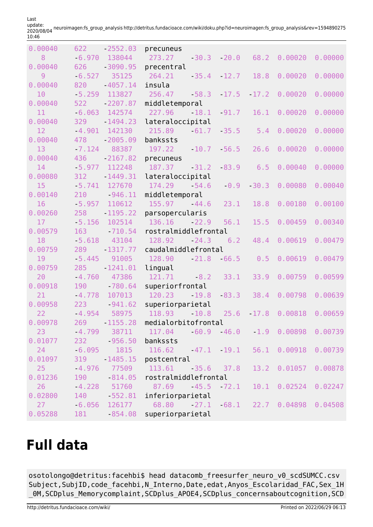| 0.00040 | 622      | $-2552.03$      | precuneus                                      |         |         |                                       |         |
|---------|----------|-----------------|------------------------------------------------|---------|---------|---------------------------------------|---------|
| 8       | 6.970    | 138044          | 273.27<br>$-30.3$                              | $-20.0$ | 68.2    | 0.00020                               | 0.00000 |
| 0.00040 | 626      | $-3090.95$      | precentral                                     |         |         |                                       |         |
| 9       | $-6.527$ | 35125           | 264.21<br>$-35.4$                              | $-12.7$ | 18.8    | 0.00020                               | 0.00000 |
| 0.00040 | 820      | $-4057.14$      | insula                                         |         |         |                                       |         |
| 10      | 5.259    | 113827          | 256.47<br>$-58.3$                              | $-17.5$ | $-17.2$ | 0.00020                               | 0.00000 |
| 0.00040 | 522      | $-2207.87$      | middletemporal                                 |         |         |                                       |         |
| 11      | $-6.063$ | 142574          | 227.96<br>18.1                                 | $-91.7$ | 16.1    | 0.00020                               | 0.00000 |
| 0.00040 | 329      | $-1494.23$      | lateraloccipital                               |         |         |                                       |         |
| 12      | $-4.901$ | 142130          | 215.89<br>$-61.7$                              | $-35.5$ | 5.4     | 0.00020                               | 0.00000 |
| 0.00040 | 478      | $-2005.09$      | bankssts                                       |         |         |                                       |         |
| 13      | $-7.124$ | 88387           | 197.22<br>$-10.7$                              | $-56.5$ | 26.6    | 0.00020                               | 0.00000 |
| 0.00040 | 436      | $-2167.82$      | precuneus                                      |         |         |                                       |         |
| 14      | $-5.977$ | 112248          | 187.37<br>$-31.2$                              | $-83.9$ | 6.5     | 0.00040                               | 0.00000 |
| 0.00080 | 312      | $-1449.31$      | lateraloccipital                               |         |         |                                       |         |
| 15      | $-5.741$ | 127670          | 174.29<br>$-54.6$                              | $-0.9$  | $-30.3$ | 0.00080                               | 0.00040 |
| 0.00140 | 210      | $-946.11$       | middletemporal                                 |         |         |                                       |         |
| 16      | $-5.957$ | 110612          | 155.97<br>$-44.6$                              | 23.1    | 18.8    | 0.00180                               | 0.00100 |
| 0.00260 | 258      | $-1195.22$      | parsopercularis                                |         |         |                                       |         |
| 17      | $-5.156$ | 102514          | 136.16<br>$-22.9$                              | 56.1    | 15.5    | 0.00459                               | 0.00340 |
| 0.00579 | 163      | $-710.54$       | rostralmiddlefrontal                           |         |         |                                       |         |
| 18      | $-5.618$ | 43104           | 128.92<br>$-24.3$                              | 6.2     | 48.4    | 0.00619                               | 0.00479 |
| 0.00759 | 289      | $-1317.77$      | caudalmiddlefrontal                            |         |         |                                       |         |
| 19      | $-5.445$ | 91005           | 128.90<br>$-21.8$                              | $-66.5$ | 0.5     | 0.00619                               | 0.00479 |
| 0.00759 | 285      | $-1241.01$      | lingual                                        |         |         |                                       |         |
| 20      | $-4.760$ | 47386           | 121.71<br>$-8.2$                               | 33.1    | 33.9    | 0.00759                               | 0.00599 |
| 0.00918 | 190      | $-780.64$       | superiorfrontal                                |         |         |                                       |         |
| 21      | $-4.778$ | 107013          | 120.23<br>$-19.8$                              | $-83.3$ | 38.4    | 0.00798                               | 0.00639 |
| 0.00958 | 223      | $-941.62$       | superiorparietal                               |         |         |                                       |         |
| 22      | $-4.954$ | 58975           | 118.93<br>$-10.8$                              | 25.6    | $-17.8$ | 0.00818                               | 0.00659 |
| 0.00978 | 269 —    | $-1155.28$      | medialorbitofrontal                            |         |         |                                       |         |
| 23      |          | $-4.799$ 38711  | 117.04                                         |         |         | $-60.9$ $-46.0$ $1.9$ 0.00898 0.00739 |         |
| 0.01077 |          | 232 956.50      | bankssts                                       |         |         |                                       |         |
| 24      |          |                 | $-6.095$ 1815 116.62 $-47.1$ 19.1 56.1 0.00918 |         |         |                                       | 0.00739 |
| 0.01097 | 319      | 1485.15         | postcentral                                    |         |         |                                       |         |
| 25      | $-4.976$ |                 | 77509 113.61 35.6 37.8 13.2 0.01057            |         |         |                                       | 0.00878 |
| 0.01236 | 190      | 814.05          | rostralmiddlefrontal                           |         |         |                                       |         |
| 26      |          | $-4.228$ 51760  | 87.69                                          |         |         | $-45.5$ $72.1$ $10.1$ $0.02524$       | 0.02247 |
| 0.02800 |          | 140 552.81      | inferiorparietal                               |         |         |                                       |         |
| 27      |          | $-6.056$ 126177 | 68.80                                          |         |         | $27.1$ 68.1 22.7 0.04898              | 0.04508 |
| 0.05288 |          |                 | 181 - 854.08 superiorparietal                  |         |         |                                       |         |

Last<br>update: update: 2020/08/04 neuroimagen:fs\_group\_analysis http://detritus.fundacioace.com/wiki/doku.php?id=neuroimagen:fs\_group\_analysis&rev=1594890275 10:46

## **Full data**

osotolongo@detritus:facehbi\$ head datacomb\_freesurfer\_neuro\_v0\_scdSUMCC.csv Subject, SubjID, code facehbi,N Interno,Date,edat,Anyos Escolaridad FAC,Sex 1H \_0M,SCDplus\_Memorycomplaint,SCDplus\_APOE4,SCDplus\_concernsaboutcognition,SCD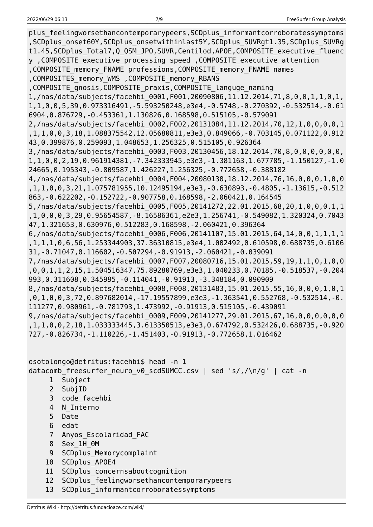plus feelingworsethancontemporarypeers,SCDplus informantcorroboratessymptoms ,SCDplus\_onset60Y,SCDplus\_onsetwithinlast5Y,SCDplus\_SUVRgt1.35,SCDplus\_SUVRg t1.45,SCDplus\_Total7,Q\_QSM\_JPO,SUVR,Centilod,APOE,COMPOSITE\_executive\_fluenc y ,COMPOSITE\_executive\_processing speed ,COMPOSITE\_executive\_attention ,COMPOSITE\_memory\_FNAME professions,COMPOSITE\_memory\_FNAME names ,COMPOSITES\_memory\_WMS ,COMPOSITE\_memory\_RBANS ,COMPOSITE\_gnosis,COMPOSITE\_praxis,COMPOSITE\_languge\_naming 1,/nas/data/subjects/facehbi\_0001,F001,20090806,11.12.2014,71,8,0,0,1,1,0,1, 1,1,0,0,5,39,0.973316491,-5.593250248,e3e4,-0.5748,-0.270392,-0.532514,-0.61 6904,0.876729,-0.453361,1.130826,0.168598,0.515105,-0.579091 2,/nas/data/subjects/facehbi\_0002,F002,20131084,11.12.2014,70,12,1,0,0,0,0,1 ,1,1,0,0,3,18,1.088375542,12.05680811,e3e3,0.849066,-0.703145,0.071122,0.912 43,0.399876,0.259093,1.048653,1.256325,0.515105,0.926364 3,/nas/data/subjects/facehbi\_0003,F003,20130456,18.12.2014,70,8,0,0,0,0,0,0, 1,1,0,0,2,19,0.961914381,-7.342333945,e3e3,-1.381163,1.677785,-1.150127,-1.0 24665,0.195343,-0.809587,1.426227,1.256325,-0.772658,-0.388182 4,/nas/data/subjects/facehbi\_0004,F004,20080130,18.12.2014,76,16,0,0,0,1,0,0 ,1,1,0,0,3,21,1.075781955,10.12495194,e3e3,-0.630893,-0.4805,-1.13615,-0.512 863,-0.622202,-0.152722,-0.907758,0.168598,-2.060421,0.164545 5,/nas/data/subjects/facehbi\_0005,F005,20141272,22.01.2015,68,20,1,0,0,0,1,1 ,1,0,0,0,3,29,0.95654587,-8.16586361,e2e3,1.256741,-0.549082,1.320324,0.7043 47,1.321653,0.630976,0.512283,0.168598,-2.060421,0.396364 6,/nas/data/subjects/facehbi\_0006,F006,20141107,15.01.2015,64,14,0,0,1,1,1,1 ,1,1,1,0,6,56,1.253344903,37.36310815,e3e4,1.002492,0.610598,0.688735,0.6106 31,-0.71047,0.116602,-0.507294,-0.91913,-2.060421,-0.039091 7,/nas/data/subjects/facehbi\_0007,F007,20080716,15.01.2015,59,19,1,1,0,1,0,0 ,0,0,1,1,2,15,1.504516347,75.89280769,e3e3,1.040233,0.70185,-0.518537,-0.204 993,0.311608,0.345995,-0.114041,-0.91913,-3.348184,0.090909 8,/nas/data/subjects/facehbi\_0008,F008,20131483,15.01.2015,55,16,0,0,0,1,0,1 ,0,1,0,0,3,72,0.897682014,-17.19557899,e3e3,-1.363541,0.552768,-0.532514,-0. 111277,0.980961,-0.781793,1.473992,-0.91913,0.515105,-0.439091 9,/nas/data/subjects/facehbi\_0009,F009,20141277,29.01.2015,67,16,0,0,0,0,0,0 ,1,1,0,0,2,18,1.033333445,3.613350513,e3e3,0.674792,0.532426,0.688735,-0.920 727,-0.826734,-1.110226,-1.451403,-0.91913,-0.772658,1.016462

osotolongo@detritus:facehbi\$ head -n 1 datacomb\_freesurfer\_neuro\_v0\_scdSUMCC.csv | sed 's/,/\n/g' | cat -n 1 Subject

- 2 SubjID
- 3 code\_facehbi
- 4 N\_Interno
- 5 Date
- 6 edat
- 7 Anyos\_Escolaridad\_FAC
- 8 Sex\_1H\_0M
- 9 SCDplus Memorycomplaint
- 10 SCDplus\_APOE4
- 11 SCDplus concernsaboutcognition
- 12 SCDplus feelingworsethancontemporarypeers
- 13 SCDplus\_informantcorroboratessymptoms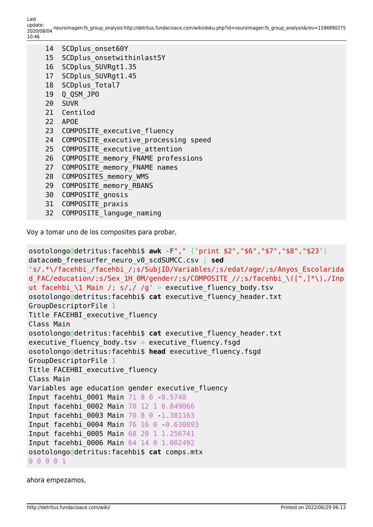| 14              |                                         |  |  |  |  |
|-----------------|-----------------------------------------|--|--|--|--|
|                 | SCDplus onset60Y                        |  |  |  |  |
| 15              | SCDplus onsetwithinlast5Y               |  |  |  |  |
| 16 <sup>1</sup> | SCDplus SUVRgt1.35                      |  |  |  |  |
| 17              | SCDplus SUVRgt1.45                      |  |  |  |  |
|                 | 18 SCDplus Total7                       |  |  |  |  |
| 19              | Q QSM JPO                               |  |  |  |  |
|                 | 20 SUVR                                 |  |  |  |  |
|                 | 21 Centilod                             |  |  |  |  |
|                 | 22 APOE                                 |  |  |  |  |
|                 | 23 COMPOSITE executive fluency          |  |  |  |  |
|                 | 24 COMPOSITE executive processing speed |  |  |  |  |
|                 | 25 COMPOSITE executive attention        |  |  |  |  |
| 26 <sup>2</sup> | COMPOSITE memory FNAME professions      |  |  |  |  |
| 27              | COMPOSITE memory FNAME names            |  |  |  |  |
| 28              | COMPOSITES memory WMS                   |  |  |  |  |
| 29              | COMPOSITE memory RBANS                  |  |  |  |  |
| 30              | COMPOSITE gnosis                        |  |  |  |  |
| 31              | COMPOSITE praxis                        |  |  |  |  |

32 COMPOSITE\_languge\_naming

Voy a tomar uno de los composites para probar,

```
osotolongo@detritus:facehbi$ awk -F"," {'print $2","$6","$7","$8","$23'}
datacomb_freesurfer_neuro_v0_scdSUMCC.csv | sed
's/.*\/facehbi_/facehbi_/;s/SubjID/Variables/;s/edat/age/;s/Anyos_Escolarida
d FAC/education/;s/Sex 1H 0M/gender/;s/COMPOSITE //;s/facehbi_\([^,]*\),/Inp
ut facehbi_\1 Main /; s/,/ /g' > executive_fluency_body.tsv
osotolongo@detritus:facehbi$ cat executive_fluency_header.txt
GroupDescriptorFile 1
Title FACEHBI executive fluency
Class Main
osotolongo@detritus:facehbi$ cat executive_fluency_header.txt
executive fluency body.tsv > executive fluency.fsgd
osotolongo@detritus:facehbi$ head executive_fluency.fsgd
GroupDescriptorFile 1
Title FACEHBI_executive_fluency
Class Main
Variables age education gender executive_fluency
Input facehbi 0001 Main 71 8 0 0.5748
Input facehbi_0002 Main 70 12 1 0.849066
Input facehbi_0003 Main 70 8 0 -1.381163
Input facehbi_0004 Main 76 16 0 -0.630893
Input facehbi_0005 Main 68 20 1 1.256741
Input facehbi_0006 Main 64 14 0 1.002492
osotolongo@detritus:facehbi$ cat comps.mtx
0 0 0 0 1
```
ahora empezamos,